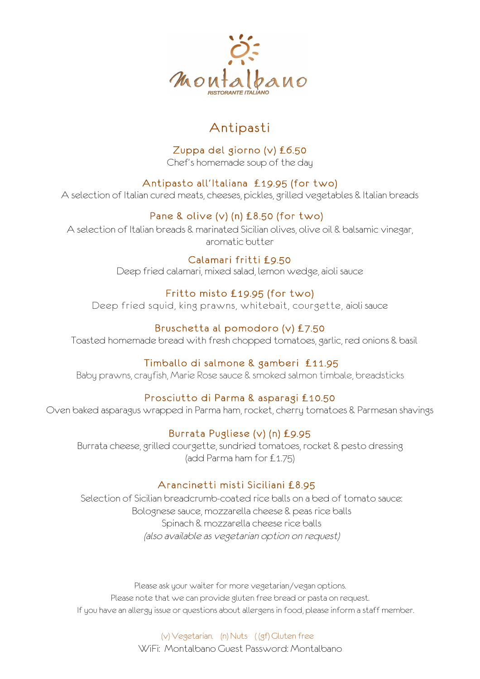

# Antipasti

## Zuppa del giorno (v) £6.50

Chef's homemade soup of the day

## Antipasto all'Italiana £19.95 (for two)

A selection of Italian cured meats, cheeses, pickles, grilled vegetables & Italian breads

## Pane & olive (v) (n) £8.50 (for two)

A selection of Italian breads & marinated Sicilian olives, olive oil & balsamic vinegar, aromatic butter

## Calamari fritti £9.50

Deep fried calamari, mixed salad, lemon wedge, aioli sauce

## Fritto misto £19.95 (for two)

Deep fried squid, king prawns, whitebait, courgette, aioli sauce

## Bruschetta al pomodoro (v) £7.50

Toasted homemade bread with fresh chopped tomatoes, garlic, red onions & basil

## Timballo di salmone & gamberi £11.95

Baby prawns, crayfish, Marie Rose sauce & smoked salmon timbale, breadsticks

## Prosciutto di Parma & asparagi £10.50

Oven baked asparagus wrapped in Parma ham, rocket, cherry tomatoes & Parmesan shavings

## Burrata Pugliese (v) (n) £9.95

Burrata cheese, grilled courgette, sundried tomatoes, rocket & pesto dressing (add Parma ham for £1.75)

## Arancinetti misti Siciliani £8.95

Selection of Sicilian breadcrumb-coated rice balls on a bed of tomato sauce: Bolognese sauce, mozzarella cheese & peas rice balls Spinach & mozzarella cheese rice balls (also available as vegetarian option on request)

Please ask your waiter for more vegetarian/vegan options. Please note that we can provide gluten free bread or pasta on request. If you have an allergy issue or questions about allergens in food, please inform a staff member.

> (v) Vegetarian. (n) Nuts ( (gf) Gluten free WiFi: Montalbano Guest Password: Montalbano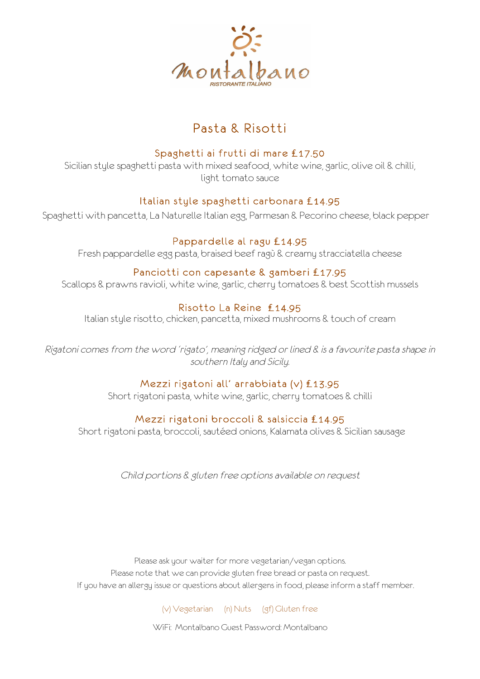

# Pasta & Risotti

## Spaghetti ai frutti di mare £17.50

Sicilian style spaghetti pasta with mixed seafood, white wine, garlic, olive oil & chilli, light tomato sauce

#### Italian style spaghetti carbonara £14.95

Spaghetti with pancetta, La Naturelle Italian egg, Parmesan & Pecorino cheese, black pepper

#### Pappardelle al ragu £14.95

Fresh pappardelle egg pasta, braised beef ragù & creamy stracciatella cheese

#### Panciotti con capesante & gamberi £17.95

Scallops & prawns ravioli, white wine, garlic, cherry tomatoes & best Scottish mussels

## Risotto La Reine £14.95

Italian style risotto, chicken, pancetta, mixed mushrooms & touch of cream

Rigatoni comes from the word 'rigato', meaning ridged or lined & is a favourite pasta shape in southern Italy and Sicily.

#### Mezzi rigatoni all' arrabbiata (v) £13.95

Short rigatoni pasta, white wine, garlic, cherry tomatoes & chilli

## Mezzi rigatoni broccoli & salsiccia £14.95

Short rigatoni pasta, broccoli, sautéed onions, Kalamata olives & Sicilian sausage

Child portions & gluten free options available on request

Please ask your waiter for more vegetarian/vegan options. Please note that we can provide gluten free bread or pasta on request. If you have an allergy issue or questions about allergens in food, please inform a staff member.

(v) Vegetarian (n) Nuts (gf) Gluten free

WiFi: Montalbano Guest Password: Montalbano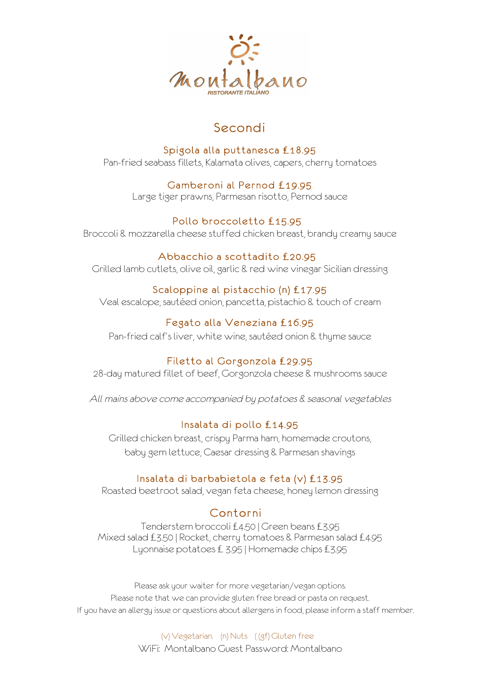

# Secondi

## Spigola alla puttanesca £18.95

Pan-fried seabass fillets, Kalamata olives, capers, cherry tomatoes

#### Gamberoni al Pernod £19.95

Large tiger prawns, Parmesan risotto, Pernod sauce

## Pollo broccoletto £15.95

Broccoli & mozzarella cheese stuffed chicken breast, brandy creamy sauce

#### Abbacchio a scottadito £20.95

Grilled lamb cutlets, olive oil, garlic & red wine vinegar Sicilian dressing

## Scaloppine al pistacchio (n) £17.95

Veal escalope, sautéed onion, pancetta, pistachio & touch of cream

## Fegato alla Veneziana £16.95

Pan-fried calf's liver, white wine, sautéed onion & thyme sauce

## Filetto al Gorgonzola £29.95

28-day matured fillet of beef, Gorgonzola cheese & mushrooms sauce

All mains above come accompanied by potatoes & seasonal vegetables

## Insalata di pollo £14.95

Grilled chicken breast, crispy Parma ham, homemade croutons, baby gem lettuce, Caesar dressing & Parmesan shavings

## Insalata di barbabietola e feta (v) £13.95

Roasted beetroot salad, vegan feta cheese, honey lemon dressing

## Contorni

Tenderstem broccoli £4.50 | Green beans £3.95 Mixed salad £3.50 | Rocket, cherry tomatoes & Parmesan salad £4.95 Lyonnaise potatoes £ 3.95 | Homemade chips £3.95

Please ask your waiter for more vegetarian/vegan options. Please note that we can provide gluten free bread or pasta on request. If you have an allergy issue or questions about allergens in food, please inform a staff member.

> (v) Vegetarian. (n) Nuts ( (gf) Gluten free WiFi: Montalbano Guest Password: Montalbano